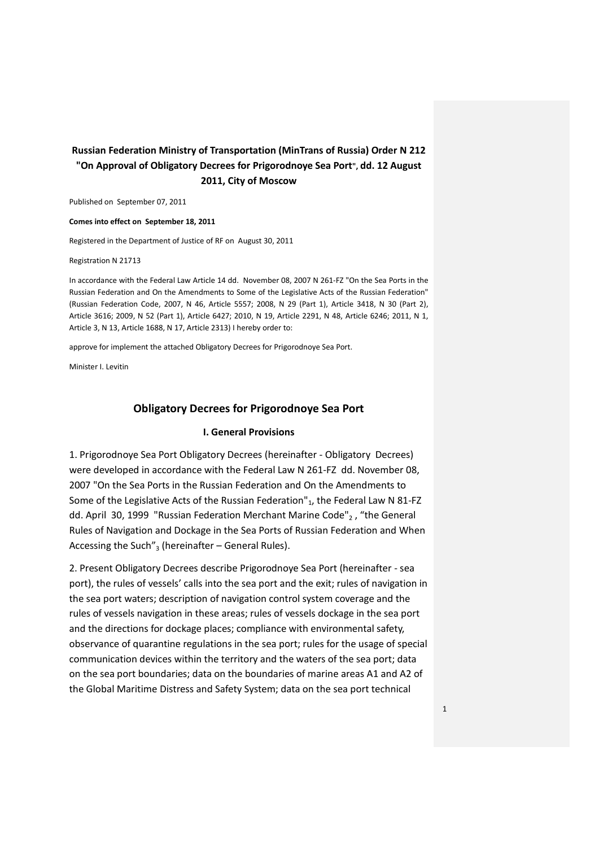## **Russian Federation Ministry of Transportation (MinTrans of Russia) Order N 212 "On Approval of Obligatory Decrees for Prigorodnoye Sea Port", dd. 12 August 2011, City of Moscow**

Published on September 07, 2011

#### **Comes into effect on September 18, 2011**

Registered in the Department of Justice of RF on August 30, 2011

#### Registration N 21713

In accordance with the Federal Law Article 14 dd. November 08, 2007 N 261-FZ "On the Sea Ports in the Russian Federation and On the Amendments to Some of the Legislative Acts of the Russian Federation" (Russian Federation Code, 2007, N 46, Article 5557; 2008, N 29 (Part 1), Article 3418, N 30 (Part 2), Article 3616; 2009, N 52 (Part 1), Article 6427; 2010, N 19, Article 2291, N 48, Article 6246; 2011, N 1, Article 3, N 13, Article 1688, N 17, Article 2313) I hereby order to:

approve for implement the attached Obligatory Decrees for Prigorodnoye Sea Port.

Minister I. Levitin

#### **Obligatory Decrees for Prigorodnoye Sea Port**

#### **I. General Provisions**

1. Prigorodnoye Sea Port Obligatory Decrees (hereinafter - Obligatory Decrees) were developed in accordance with the Federal Law N 261-FZ dd. November 08, 2007 "On the Sea Ports in the Russian Federation and On the Amendments to Some of the Legislative Acts of the Russian Federation" $_1$ , the Federal Law N 81-FZ dd. April 30, 1999 "Russian Federation Merchant Marine Code"<sub>2</sub>, "the General Rules of Navigation and Dockage in the Sea Ports of Russian Federation and When Accessing the Such" $_3$  (hereinafter – General Rules).

2. Present Obligatory Decrees describe Prigorodnoye Sea Port (hereinafter - sea port), the rules of vessels' calls into the sea port and the exit; rules of navigation in the sea port waters; description of navigation control system coverage and the rules of vessels navigation in these areas; rules of vessels dockage in the sea port and the directions for dockage places; compliance with environmental safety, observance of quarantine regulations in the sea port; rules for the usage of special communication devices within the territory and the waters of the sea port; data on the sea port boundaries; data on the boundaries of marine areas A1 and A2 of the Global Maritime Distress and Safety System; data on the sea port technical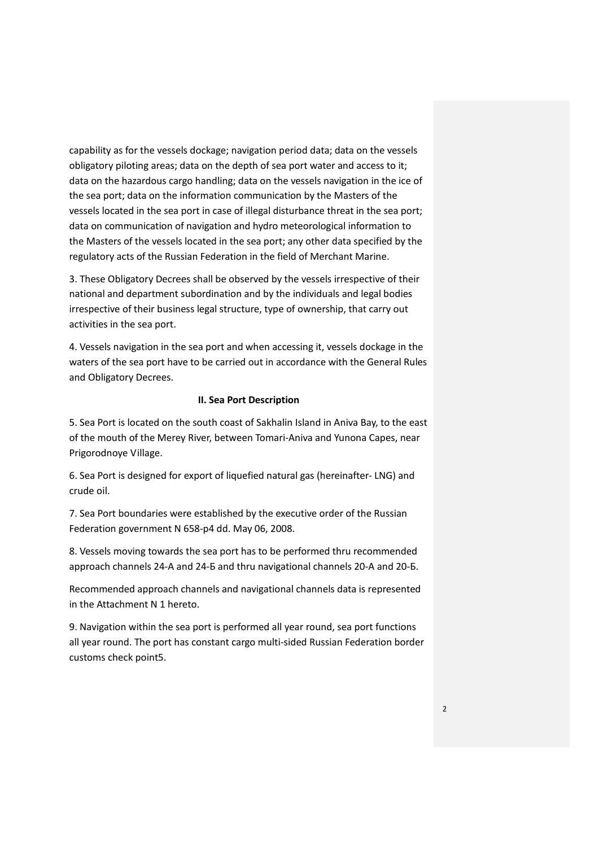capability as for the vessels dockage; navigation period data; data on the vessels obligatory piloting areas; data on the depth of sea port water and access to it; data on the hazardous cargo handling; data on the vessels navigation in the ice of the sea port; data on the information communication by the Masters of the vessels located in the sea port in case of illegal disturbance threat in the sea port; data on communication of navigation and hydro meteorological information to the Masters of the vessels located in the sea port; any other data specified by the regulatory acts of the Russian Federation in the field of Merchant Marine.

3. These Obligatory Decrees shall be observed by the vessels irrespective of their national and department subordination and by the individuals and legal bodies irrespective of their business legal structure, type of ownership, that carry out activities in the sea port.

4. Vessels navigation in the sea port and when accessing it, vessels dockage in the waters of the sea port have to be carried out in accordance with the General Rules and Obligatory Decrees.

#### **II. Sea Port Description**

5. Sea Port is located on the south coast of Sakhalin Island in Aniva Bay, to the east of the mouth of the Merey River, between Tomari-Aniva and Yunona Capes, near Prigorodnoye Village.

6. Sea Port is designed for export of liquefied natural gas (hereinafter- LNG) and crude oil.

7. Sea Port boundaries were established by the executive order of the Russian Federation government N 658-р4 dd. May 06, 2008.

8. Vessels moving towards the sea port has to be performed thru recommended approach channels 24-А and 24-Б and thru navigational channels 20-А and 20-Б.

Recommended approach channels and navigational channels data is represented in the Attachment N 1 hereto.

9. Navigation within the sea port is performed all year round, sea port functions all year round. The port has constant cargo multi-sided Russian Federation border customs check point5.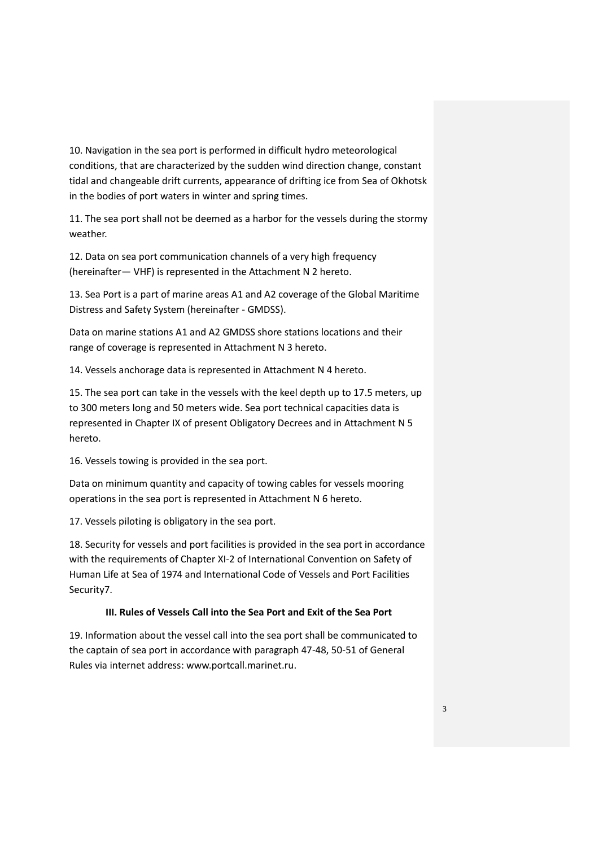10. Navigation in the sea port is performed in difficult hydro meteorological conditions, that are characterized by the sudden wind direction change, constant tidal and changeable drift currents, appearance of drifting ice from Sea of Okhotsk in the bodies of port waters in winter and spring times.

11. The sea port shall not be deemed as a harbor for the vessels during the stormy weather.

12. Data on sea port communication channels of a very high frequency (hereinafter— VHF) is represented in the Attachment N 2 hereto.

13. Sea Port is a part of marine areas A1 and A2 coverage of the Global Maritime Distress and Safety System (hereinafter - GMDSS).

Data on marine stations A1 and A2 GMDSS shore stations locations and their range of coverage is represented in Attachment N 3 hereto.

14. Vessels anchorage data is represented in Attachment N 4 hereto.

15. The sea port can take in the vessels with the keel depth up to 17.5 meters, up to 300 meters long and 50 meters wide. Sea port technical capacities data is represented in Chapter IX of present Obligatory Decrees and in Attachment N 5 hereto.

16. Vessels towing is provided in the sea port.

Data on minimum quantity and capacity of towing cables for vessels mooring operations in the sea port is represented in Attachment N 6 hereto.

17. Vessels piloting is obligatory in the sea port.

18. Security for vessels and port facilities is provided in the sea port in accordance with the requirements of Chapter XI-2 of International Convention on Safety of Human Life at Sea of 1974 and International Code of Vessels and Port Facilities Security7.

#### **III. Rules of Vessels Call into the Sea Port and Exit of the Sea Port**

19. Information about the vessel call into the sea port shall be communicated to the captain of sea port in accordance with paragraph 47-48, 50-51 of General Rules via internet address: www.portcall.marinet.ru.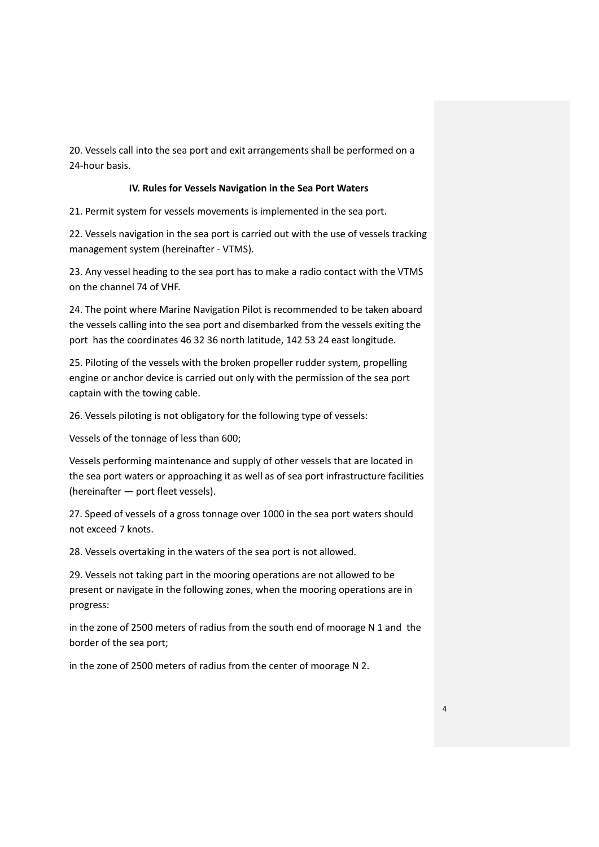20. Vessels call into the sea port and exit arrangements shall be performed on a 24-hour basis.

#### **IV. Rules for Vessels Navigation in the Sea Port Waters**

21. Permit system for vessels movements is implemented in the sea port.

22. Vessels navigation in the sea port is carried out with the use of vessels tracking management system (hereinafter - VTMS).

23. Any vessel heading to the sea port has to make a radio contact with the VTMS on the channel 74 of VHF.

24. The point where Marine Navigation Pilot is recommended to be taken aboard the vessels calling into the sea port and disembarked from the vessels exiting the port has the coordinates 46 32 36 north latitude, 142 53 24 east longitude.

25. Piloting of the vessels with the broken propeller rudder system, propelling engine or anchor device is carried out only with the permission of the sea port captain with the towing cable.

26. Vessels piloting is not obligatory for the following type of vessels:

Vessels of the tonnage of less than 600;

Vessels performing maintenance and supply of other vessels that are located in the sea port waters or approaching it as well as of sea port infrastructure facilities (hereinafter — port fleet vessels).

27. Speed of vessels of a gross tonnage over 1000 in the sea port waters should not exceed 7 knots.

28. Vessels overtaking in the waters of the sea port is not allowed.

29. Vessels not taking part in the mooring operations are not allowed to be present or navigate in the following zones, when the mooring operations are in progress:

in the zone of 2500 meters of radius from the south end of moorage N 1 and the border of the sea port;

in the zone of 2500 meters of radius from the center of moorage N 2.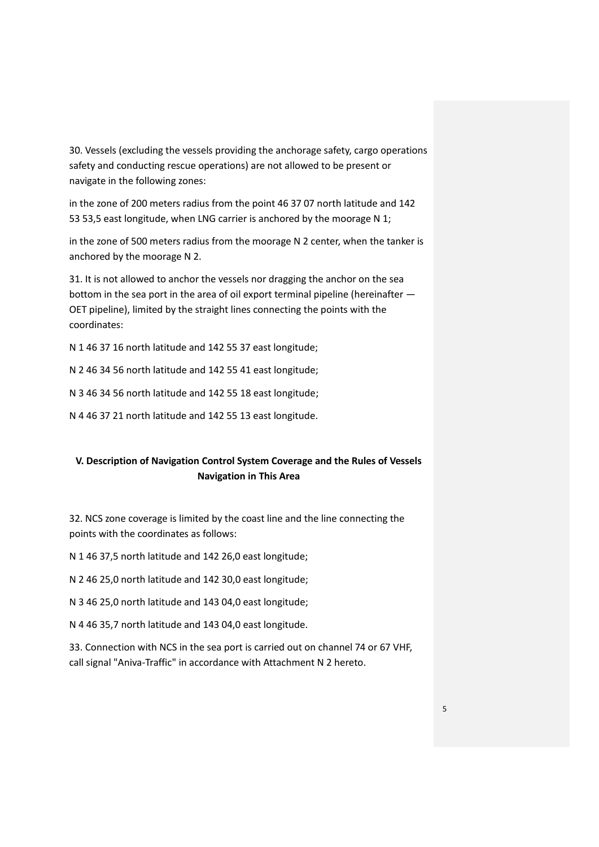30. Vessels (excluding the vessels providing the anchorage safety, cargo operations safety and conducting rescue operations) are not allowed to be present or navigate in the following zones:

in the zone of 200 meters radius from the point 46 37 07 north latitude and 142 53 53,5 east longitude, when LNG carrier is anchored by the moorage N 1;

in the zone of 500 meters radius from the moorage N 2 center, when the tanker is anchored by the moorage N 2.

31. It is not allowed to anchor the vessels nor dragging the anchor on the sea bottom in the sea port in the area of oil export terminal pipeline (hereinafter — OET pipeline), limited by the straight lines connecting the points with the coordinates:

N 1 46 37 16 north latitude and 142 55 37 east longitude;

N 2 46 34 56 north latitude and 142 55 41 east longitude;

N 3 46 34 56 north latitude and 142 55 18 east longitude;

N 4 46 37 21 north latitude and 142 55 13 east longitude.

## **V. Description of Navigation Control System Coverage and the Rules of Vessels Navigation in This Area**

32. NCS zone coverage is limited by the coast line and the line connecting the points with the coordinates as follows:

N 1 46 37,5 north latitude and 142 26,0 east longitude;

N 2 46 25,0 north latitude and 142 30,0 east longitude;

N 3 46 25,0 north latitude and 143 04,0 east longitude;

N 4 46 35,7 north latitude and 143 04,0 east longitude.

33. Connection with NCS in the sea port is carried out on channel 74 or 67 VHF, call signal "Aniva-Traffic" in accordance with Attachment N 2 hereto.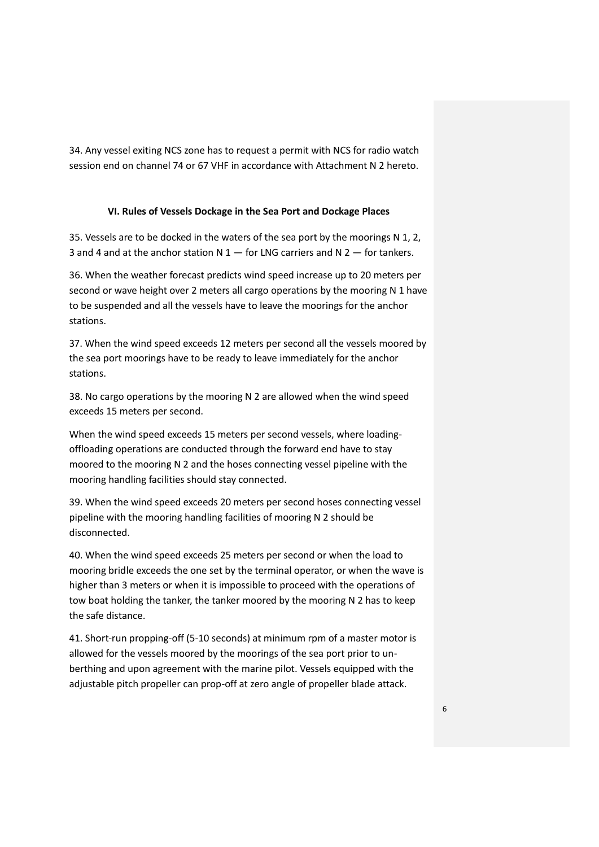34. Any vessel exiting NCS zone has to request a permit with NCS for radio watch session end on channel 74 or 67 VHF in accordance with Attachment N 2 hereto.

#### **VI. Rules of Vessels Dockage in the Sea Port and Dockage Places**

35. Vessels are to be docked in the waters of the sea port by the moorings N 1, 2, 3 and 4 and at the anchor station  $N$  1 – for LNG carriers and N 2 – for tankers.

36. When the weather forecast predicts wind speed increase up to 20 meters per second or wave height over 2 meters all cargo operations by the mooring N 1 have to be suspended and all the vessels have to leave the moorings for the anchor stations.

37. When the wind speed exceeds 12 meters per second all the vessels moored by the sea port moorings have to be ready to leave immediately for the anchor stations.

38. No cargo operations by the mooring N 2 are allowed when the wind speed exceeds 15 meters per second.

When the wind speed exceeds 15 meters per second vessels, where loadingoffloading operations are conducted through the forward end have to stay moored to the mooring N 2 and the hoses connecting vessel pipeline with the mooring handling facilities should stay connected.

39. When the wind speed exceeds 20 meters per second hoses connecting vessel pipeline with the mooring handling facilities of mooring N 2 should be disconnected.

40. When the wind speed exceeds 25 meters per second or when the load to mooring bridle exceeds the one set by the terminal operator, or when the wave is higher than 3 meters or when it is impossible to proceed with the operations of tow boat holding the tanker, the tanker moored by the mooring N 2 has to keep the safe distance.

41. Short-run propping-off (5-10 seconds) at minimum rpm of a master motor is allowed for the vessels moored by the moorings of the sea port prior to unberthing and upon agreement with the marine pilot. Vessels equipped with the adjustable pitch propeller can prop-off at zero angle of propeller blade attack.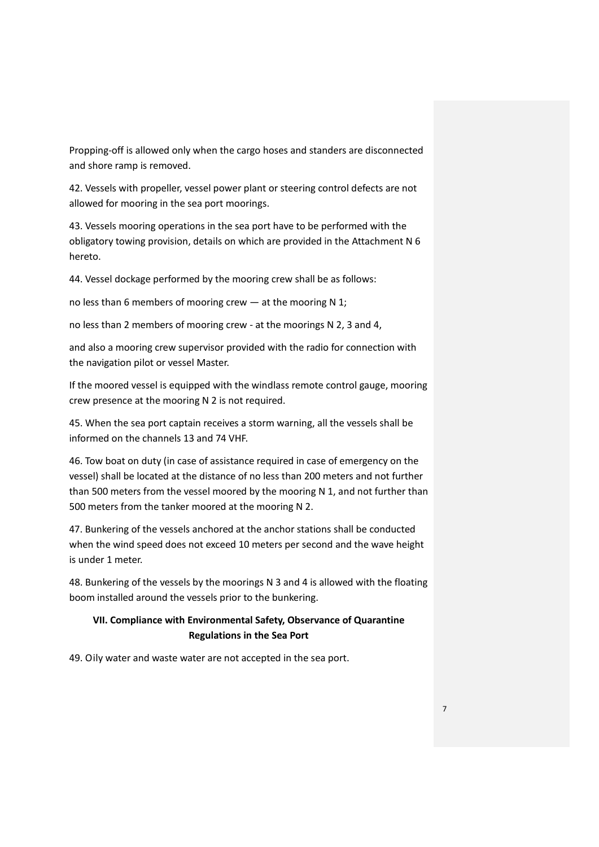Propping-off is allowed only when the cargo hoses and standers are disconnected and shore ramp is removed.

42. Vessels with propeller, vessel power plant or steering control defects are not allowed for mooring in the sea port moorings.

43. Vessels mooring operations in the sea port have to be performed with the obligatory towing provision, details on which are provided in the Attachment N 6 hereto.

44. Vessel dockage performed by the mooring crew shall be as follows:

no less than 6 members of mooring crew — at the mooring N 1;

no less than 2 members of mooring crew - at the moorings N 2, 3 and 4,

and also a mooring crew supervisor provided with the radio for connection with the navigation pilot or vessel Master.

If the moored vessel is equipped with the windlass remote control gauge, mooring crew presence at the mooring N 2 is not required.

45. When the sea port captain receives a storm warning, all the vessels shall be informed on the channels 13 and 74 VHF.

46. Tow boat on duty (in case of assistance required in case of emergency on the vessel) shall be located at the distance of no less than 200 meters and not further than 500 meters from the vessel moored by the mooring N 1, and not further than 500 meters from the tanker moored at the mooring N 2.

47. Bunkering of the vessels anchored at the anchor stations shall be conducted when the wind speed does not exceed 10 meters per second and the wave height is under 1 meter.

48. Bunkering of the vessels by the moorings N 3 and 4 is allowed with the floating boom installed around the vessels prior to the bunkering.

## **VII. Compliance with Environmental Safety, Observance of Quarantine Regulations in the Sea Port**

49. Oily water and waste water are not accepted in the sea port.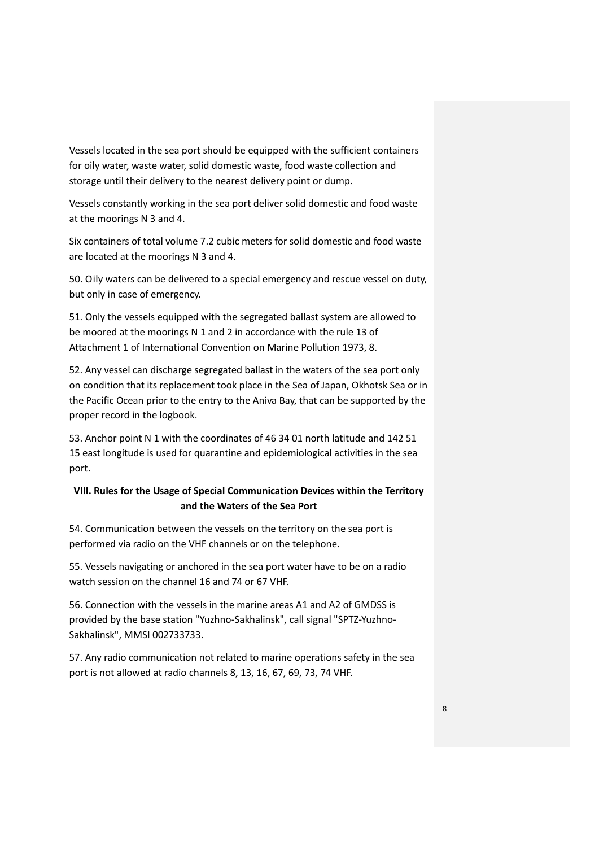Vessels located in the sea port should be equipped with the sufficient containers for oily water, waste water, solid domestic waste, food waste collection and storage until their delivery to the nearest delivery point or dump.

Vessels constantly working in the sea port deliver solid domestic and food waste at the moorings N 3 and 4.

Six containers of total volume 7.2 cubic meters for solid domestic and food waste are located at the moorings N 3 and 4.

50. Oily waters can be delivered to a special emergency and rescue vessel on duty, but only in case of emergency.

51. Only the vessels equipped with the segregated ballast system are allowed to be moored at the moorings N 1 and 2 in accordance with the rule 13 of Attachment 1 of [International Convention on Marine Pollution](http://multitran.ru/c/m.exe?t=3567136_1_2) 1973, 8.

52. Any vessel can discharge segregated ballast in the waters of the sea port only on condition that its replacement took place in the Sea of Japan, Okhotsk Sea or in the Pacific Ocean prior to the entry to the Aniva Bay, that can be supported by the proper record in the logbook.

53. Anchor point N 1 with the coordinates of 46 34 01 north latitude and 142 51 15 east longitude is used for quarantine and epidemiological activities in the sea port.

#### **VIII. Rules for the Usage of Special Communication Devices within the Territory and the Waters of the Sea Port**

54. Communication between the vessels on the territory on the sea port is performed via radio on the VHF channels or on the telephone.

55. Vessels navigating or anchored in the sea port water have to be on a radio watch session on the channel 16 and 74 or 67 VHF.

56. Connection with the vessels in the marine areas A1 and A2 of GMDSS is provided by the base station "Yuzhno-Sakhalinsk", call signal "SPTZ-Yuzhno-Sakhalinsk", MMSI 002733733.

57. Any radio communication not related to marine operations safety in the sea port is not allowed at radio channels 8, 13, 16, 67, 69, 73, 74 VHF.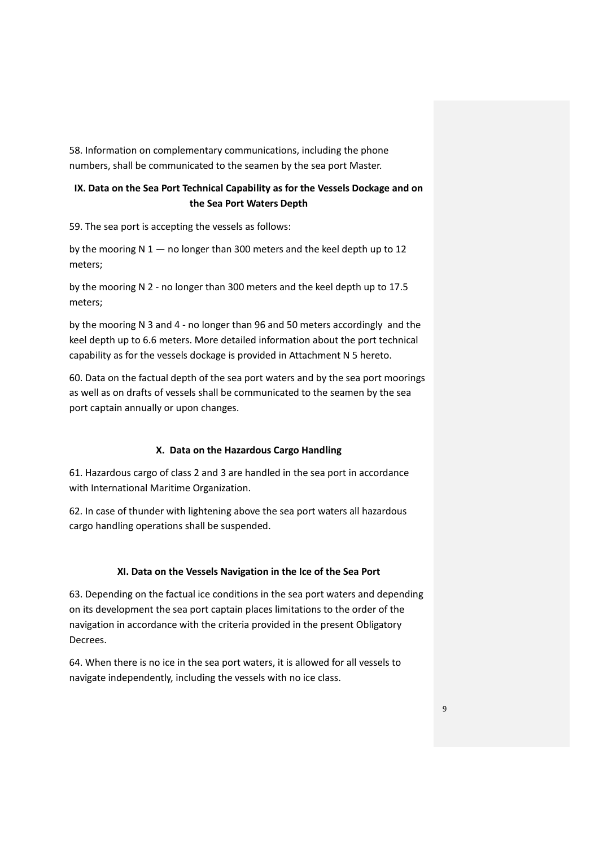58. Information on complementary communications, including the phone numbers, shall be communicated to the seamen by the sea port Master.

## **IX. Data on the Sea Port Technical Capability as for the Vessels Dockage and on the Sea Port Waters Depth**

59. The sea port is accepting the vessels as follows:

by the mooring N 1 — no longer than 300 meters and the keel depth up to 12 meters;

by the mooring N 2 - no longer than 300 meters and the keel depth up to 17.5 meters;

by the mooring N 3 and 4 - no longer than 96 and 50 meters accordingly and the keel depth up to 6.6 meters. More detailed information about the port technical capability as for the vessels dockage is provided in Attachment N 5 hereto.

60. Data on the factual depth of the sea port waters and by the sea port moorings as well as on drafts of vessels shall be communicated to the seamen by the sea port captain annually or upon changes.

#### **X. Data on the Hazardous Cargo Handling**

61. Hazardous cargo of class 2 and 3 are handled in the sea port in accordance with International Maritime Organization.

62. In case of thunder with lightening above the sea port waters all hazardous cargo handling operations shall be suspended.

#### **XI. Data on the Vessels Navigation in the Ice of the Sea Port**

63. Depending on the factual ice conditions in the sea port waters and depending on its development the sea port captain places limitations to the order of the navigation in accordance with the criteria provided in the present Obligatory Decrees.

64. When there is no ice in the sea port waters, it is allowed for all vessels to navigate independently, including the vessels with no ice class.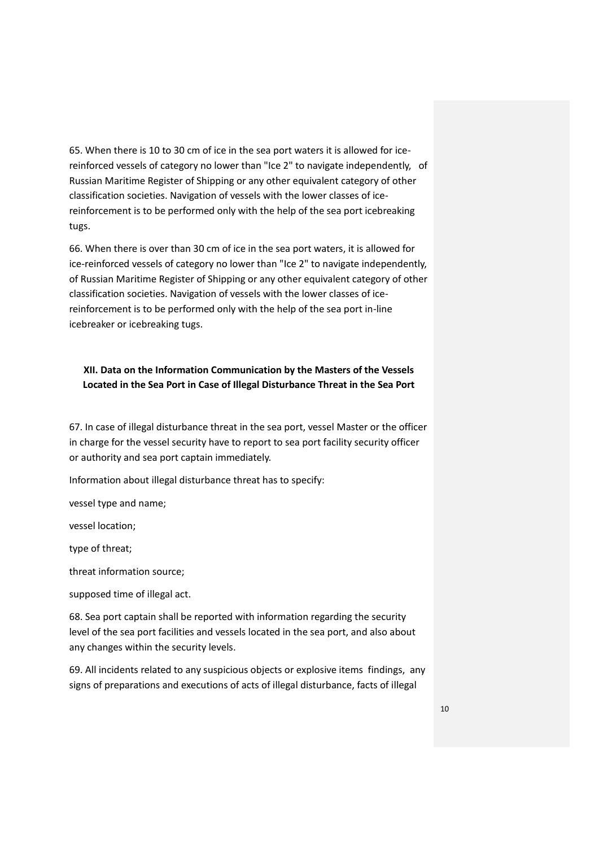65. When there is 10 to 30 cm of ice in the sea port waters it is allowed for icereinforced vessels of category no lower than "Ice 2" to navigate independently, of Russian Maritime Register of Shipping or any other equivalent category of other classification societies. Navigation of vessels with the lower classes of icereinforcement is to be performed only with the help of the sea port icebreaking tugs.

66. When there is over than 30 cm of ice in the sea port waters, it is allowed for ice-reinforced vessels of category no lower than "Ice 2" to navigate independently, of Russian Maritime Register of Shipping or any other equivalent category of other classification societies. Navigation of vessels with the lower classes of icereinforcement is to be performed only with the help of the sea port in-line icebreaker or icebreaking tugs.

### **XII. Data on the Information Communication by the Masters of the Vessels Located in the Sea Port in Case of Illegal Disturbance Threat in the Sea Port**

67. In case of illegal disturbance threat in the sea port, vessel Master or the officer in charge for the vessel security have to report to sea port facility security officer or authority and sea port captain immediately.

Information about illegal disturbance threat has to specify:

vessel type and name;

vessel location;

type of threat;

threat information source;

supposed time of illegal act.

68. Sea port captain shall be reported with information regarding the security level of the sea port facilities and vessels located in the sea port, and also about any changes within the security levels.

69. All incidents related to any suspicious objects or explosive items findings, any signs of preparations and executions of acts of illegal disturbance, facts of illegal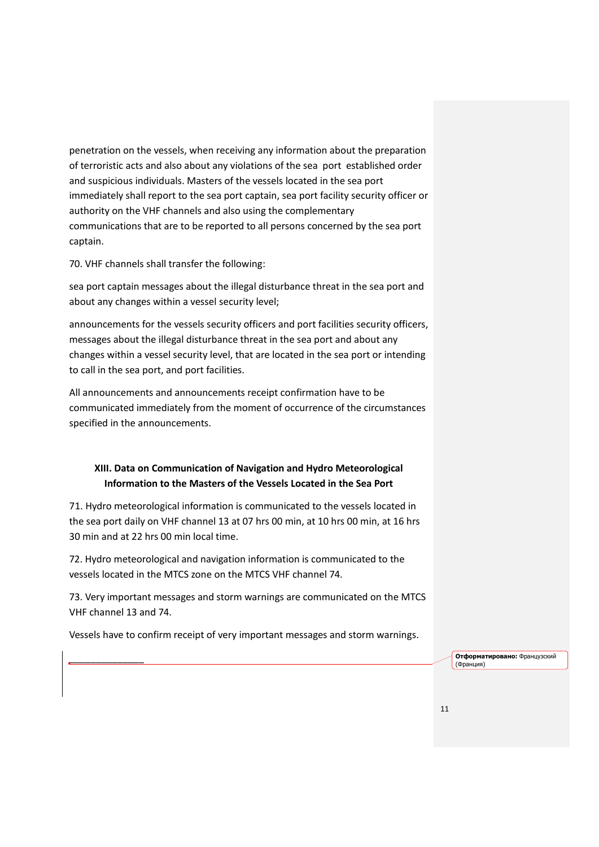penetration on the vessels, when receiving any information about the preparation of terroristic acts and also about any violations of the sea port established order and suspicious individuals. Masters of the vessels located in the sea port immediately shall report to the sea port captain, sea port facility security officer or authority on the VHF channels and also using the complementary communications that are to be reported to all persons concerned by the sea port captain.

70. VHF channels shall transfer the following:

sea port captain messages about the illegal disturbance threat in the sea port and about any changes within a vessel security level;

announcements for the vessels security officers and port facilities security officers, messages about the illegal disturbance threat in the sea port and about any changes within a vessel security level, that are located in the sea port or intending to call in the sea port, and port facilities.

All announcements and announcements receipt confirmation have to be communicated immediately from the moment of occurrence of the circumstances specified in the announcements.

## **XIII. Data on Communication of Navigation and Hydro Meteorological Information to the Masters of the Vessels Located in the Sea Port**

71. Hydro meteorological information is communicated to the vessels located in the sea port daily on VHF channel 13 at 07 hrs 00 min, at 10 hrs 00 min, at 16 hrs 30 min and at 22 hrs 00 min local time.

72. Hydro meteorological and navigation information is communicated to the vessels located in the MTCS zone on the MTCS VHF channel 74.

73. Very important messages and storm warnings are communicated on the MTCS VHF channel 13 and 74.

Vessels have to confirm receipt of very important messages and storm warnings.

\_\_\_\_\_\_\_\_\_\_\_\_\_\_ **Отформатировано:** Французский (Франция)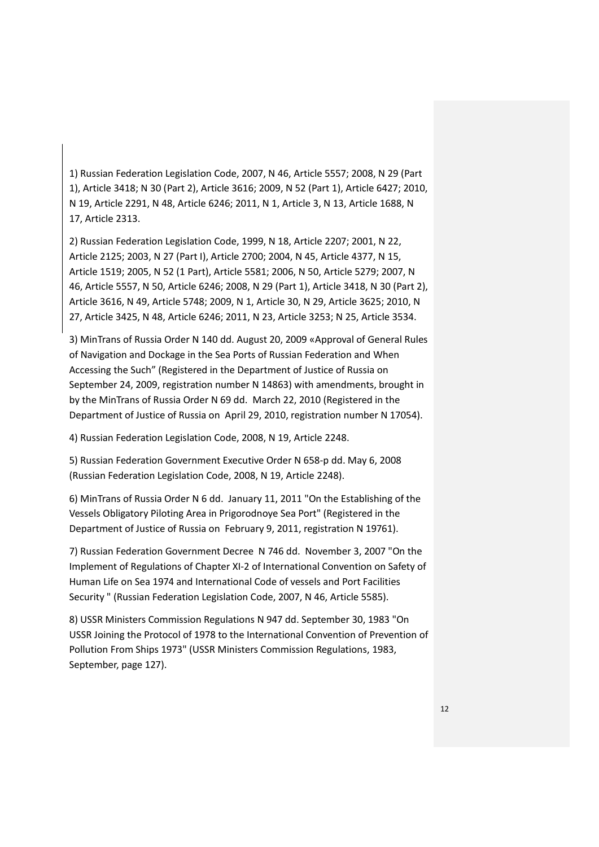1) Russian Federation Legislation Code, 2007, N 46, Article 5557; 2008, N 29 (Part 1), Article 3418; N 30 (Part 2), Article 3616; 2009, N 52 (Part 1), Article 6427; 2010, N 19, Article 2291, N 48, Article 6246; 2011, N 1, Article 3, N 13, Article 1688, N 17, Article 2313.

2) Russian Federation Legislation Code, 1999, N 18, Article 2207; 2001, N 22, Article 2125; 2003, N 27 (Part I), Article 2700; 2004, N 45, Article 4377, N 15, Article 1519; 2005, N 52 (1 Part), Article 5581; 2006, N 50, Article 5279; 2007, N 46, Article 5557, N 50, Article 6246; 2008, N 29 (Part 1), Article 3418, N 30 (Part 2), Article 3616, N 49, Article 5748; 2009, N 1, Article 30, N 29, Article 3625; 2010, N 27, Article 3425, N 48, Article 6246; 2011, N 23, Article 3253; N 25, Article 3534.

3) MinTrans of Russia Order N 140 dd. August 20, 2009 «Approval of General Rules of Navigation and Dockage in the Sea Ports of Russian Federation and When Accessing the Such" (Registered in the Department of Justice of Russia on September 24, 2009, registration number N 14863) with amendments, brought in by the MinTrans of Russia Order N 69 dd. March 22, 2010 (Registered in the Department of Justice of Russia on April 29, 2010, registration number N 17054).

4) Russian Federation Legislation Code, 2008, N 19, Article 2248.

5) Russian Federation Government Executive Order N 658-р dd. May 6, 2008 (Russian Federation Legislation Code, 2008, N 19, Article 2248).

6) MinTrans of Russia Order N 6 dd. January 11, 2011 "On the Establishing of the Vessels Obligatory Piloting Area in Prigorodnoye Sea Port" (Registered in the Department of Justice of Russia on February 9, 2011, registration N 19761).

7) Russian Federation Government Decree N 746 dd. November 3, 2007 "On the Implement of Regulations of Chapter XI-2 of International Convention on Safety of Human Life on Sea 1974 and International Code of vessels and Port Facilities Security " (Russian Federation Legislation Code, 2007, N 46, Article 5585).

8) USSR Ministers Commission Regulations N 947 dd. September 30, 1983 "On USSR Joining the Protocol of 1978 to the International Convention of Prevention of Pollution From Ships 1973" (USSR Ministers Commission Regulations, 1983, September, page 127).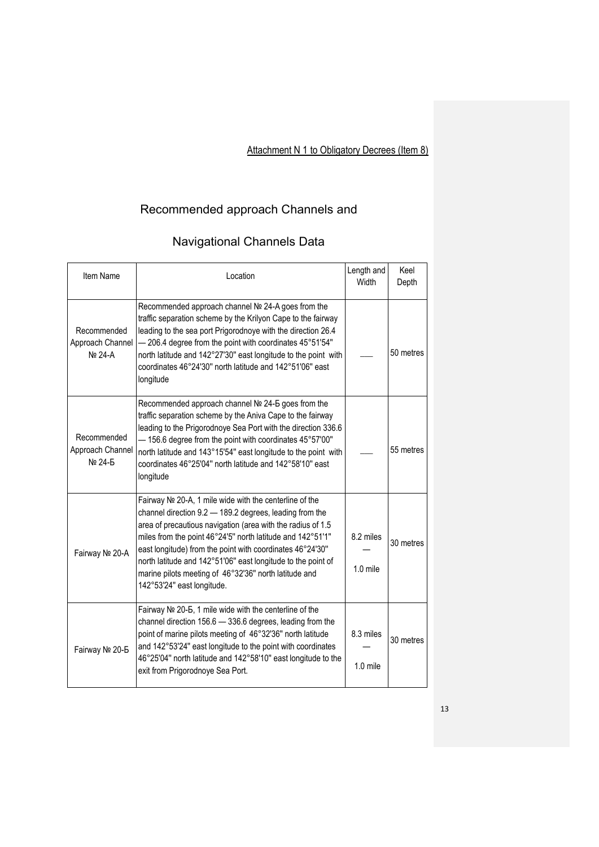## Attachment N 1 to Obligatory Decrees (Item 8)

# Recommended approach Channels and

# Navigational Channels Data

| Item Name                                  | Location                                                                                                                                                                                                                                                                                                                                                                                                                                                           | Length and<br>Width     | Keel<br>Depth |
|--------------------------------------------|--------------------------------------------------------------------------------------------------------------------------------------------------------------------------------------------------------------------------------------------------------------------------------------------------------------------------------------------------------------------------------------------------------------------------------------------------------------------|-------------------------|---------------|
| Recommended<br>Approach Channel<br>Nº 24-A | Recommended approach channel № 24-A goes from the<br>traffic separation scheme by the Krilyon Cape to the fairway<br>leading to the sea port Prigorodnoye with the direction 26.4<br>- 206.4 degree from the point with coordinates 45°51'54"<br>north latitude and 142°27'30" east longitude to the point with<br>coordinates 46°24'30" north latitude and 142°51'06" east<br>longitude                                                                           |                         | 50 metres     |
| Recommended<br>Approach Channel<br>Nº 24-6 | Recommended approach channel № 24-5 goes from the<br>traffic separation scheme by the Aniva Cape to the fairway<br>leading to the Prigorodnoye Sea Port with the direction 336.6<br>- 156.6 degree from the point with coordinates 45°57'00"<br>north latitude and 143°15'54" east longitude to the point with<br>coordinates 46°25'04" north latitude and 142°58'10" east<br>longitude                                                                            |                         | 55 metres     |
| Fairway № 20-A                             | Fairway № 20-A, 1 mile wide with the centerline of the<br>channel direction 9.2 - 189.2 degrees, leading from the<br>area of precautious navigation (area with the radius of 1.5<br>miles from the point 46°24'5" north latitude and 142°51'1"<br>east longitude) from the point with coordinates 46°24'30"<br>north latitude and 142°51'06" east longitude to the point of<br>marine pilots meeting of 46°32'36" north latitude and<br>142°53'24" east longitude. | 8.2 miles<br>$1.0$ mile | 30 metres     |
| Fairway № 20-Б                             | Fairway № 20-Б, 1 mile wide with the centerline of the<br>channel direction 156.6 - 336.6 degrees, leading from the<br>point of marine pilots meeting of 46°32'36" north latitude<br>and 142°53'24" east longitude to the point with coordinates<br>46°25'04" north latitude and 142°58'10" east longitude to the<br>exit from Prigorodnoye Sea Port.                                                                                                              | 8.3 miles<br>1.0 mile   | 30 metres     |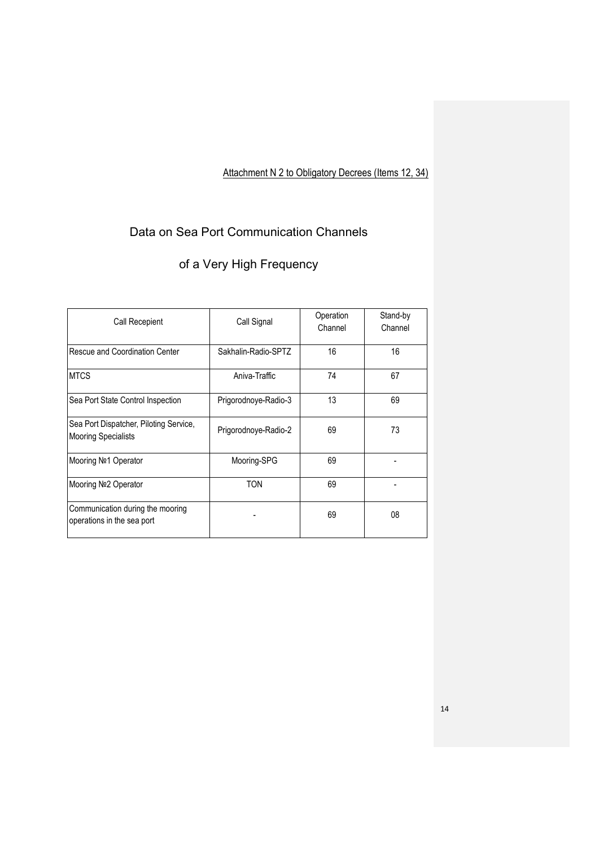# Attachment N 2 to Obligatory Decrees (Items 12, 34)

# Data on Sea Port Communication Channels

# of a Very High Frequency

| Call Recepient                                                       | Call Signal          | Operation<br>Channel | Stand-by<br>Channel |
|----------------------------------------------------------------------|----------------------|----------------------|---------------------|
| Rescue and Coordination Center                                       | Sakhalin-Radio-SPTZ  | 16                   | 16                  |
| <b>MTCS</b>                                                          | Aniva-Traffic        | 74                   | 67                  |
| Sea Port State Control Inspection                                    | Prigorodnoye-Radio-3 | 13                   | 69                  |
| Sea Port Dispatcher, Piloting Service,<br><b>Mooring Specialists</b> | Prigorodnoye-Radio-2 | 69                   | 73                  |
| Mooring Nº1 Operator                                                 | Mooring-SPG          | 69                   |                     |
| Mooring Nº2 Operator                                                 | <b>TON</b>           | 69                   |                     |
| Communication during the mooring<br>operations in the sea port       |                      | 69                   | 08                  |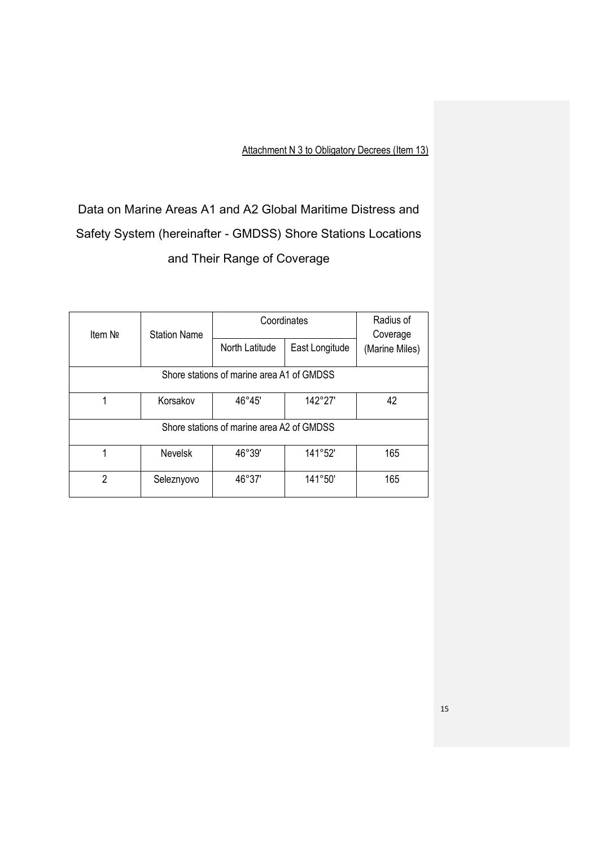Attachment N 3 to Obligatory Decrees (Item 13)

# Data on Marine Areas A1 and A2 Global Maritime Distress and Safety System (hereinafter - GMDSS) Shore Stations Locations and Their Range of Coverage

| Item №                                    | <b>Station Name</b> | Coordinates       | Radius of<br>Coverage |                |  |  |
|-------------------------------------------|---------------------|-------------------|-----------------------|----------------|--|--|
|                                           |                     | North Latitude    | East Longitude        | (Marine Miles) |  |  |
| Shore stations of marine area A1 of GMDSS |                     |                   |                       |                |  |  |
|                                           | Korsakov            | 46°45'<br>142°27' |                       | 42             |  |  |
| Shore stations of marine area A2 of GMDSS |                     |                   |                       |                |  |  |
|                                           | <b>Nevelsk</b>      | 46°39'            | 141°52'               | 165            |  |  |
| 2                                         | Seleznyovo          | 46°37'            | 141°50'               | 165            |  |  |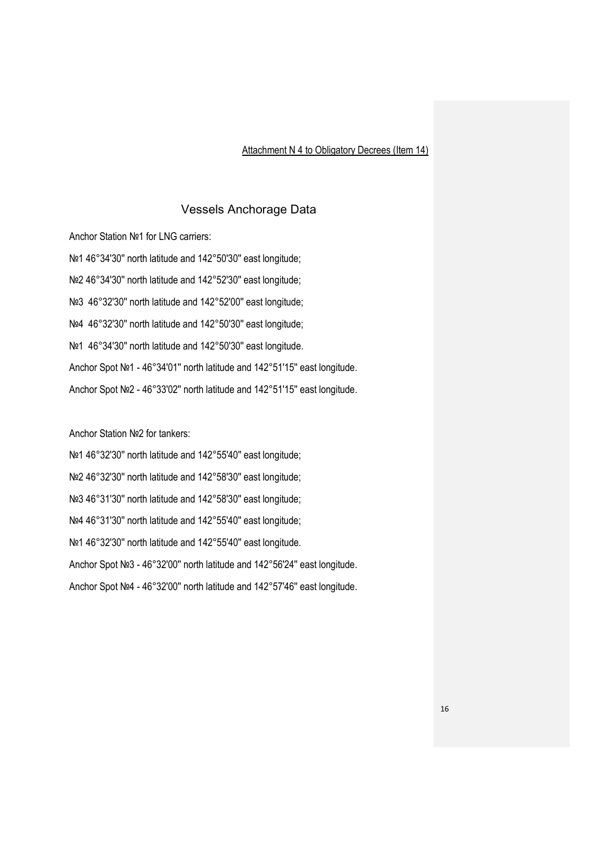#### Attachment N 4 to Obligatory Decrees (Item 14)

#### Vessels Anchorage Data

Anchor Station №1 for LNG carriers: №1 46°34'30'' north latitude and 142°50'30'' east longitude; №2 46°34'30'' north latitude and 142°52'30'' east longitude; №3 46°32'30'' north latitude and 142°52'00'' east longitude; №4 46°32'30'' north latitude and 142°50'30'' east longitude; №1 46°34'30'' north latitude and 142°50'30'' east longitude. Anchor Spot №1 - 46°34'01'' north latitude and 142°51'15'' east longitude. Anchor Spot №2 - 46°33'02'' north latitude and 142°51'15'' east longitude.

#### Anchor Station №2 for tankers:

№1 46°32'30'' north latitude and 142°55'40'' east longitude; №2 46°32'30'' north latitude and 142°58'30'' east longitude; №3 46°31'30'' north latitude and 142°58'30'' east longitude; №4 46°31'30'' north latitude and 142°55'40'' east longitude; №1 46°32'30'' north latitude and 142°55'40'' east longitude. Anchor Spot №3 - 46°32'00'' north latitude and 142°56'24'' east longitude. Anchor Spot №4 - 46°32'00'' north latitude and 142°57'46'' east longitude.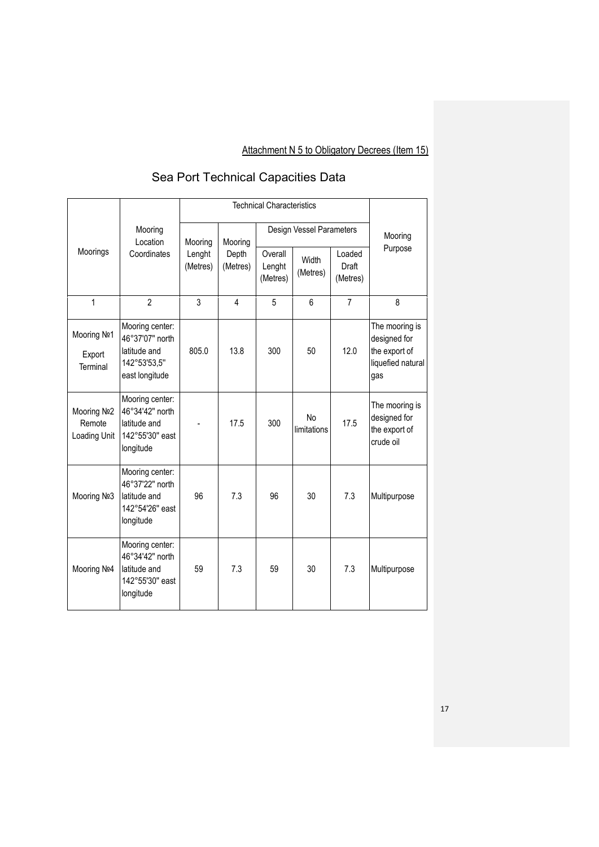# Attachment N 5 to Obligatory Decrees (Item 15)

# Sea Port Technical Capacities Data

|                                       |                                                                                      | <b>Technical Characteristics</b> |                   |                               |                          |                             |                                                                             |
|---------------------------------------|--------------------------------------------------------------------------------------|----------------------------------|-------------------|-------------------------------|--------------------------|-----------------------------|-----------------------------------------------------------------------------|
|                                       | Mooring<br>Location<br>Coordinates                                                   | Mooring                          | Mooring           | Design Vessel Parameters      |                          |                             | Mooring                                                                     |
| Moorings                              |                                                                                      | Lenght<br>(Metres)               | Depth<br>(Metres) | Overall<br>Lenght<br>(Metres) | Width<br>(Metres)        | Loaded<br>Draft<br>(Metres) | Purpose                                                                     |
| 1                                     | $\overline{2}$                                                                       | 3                                | $\overline{4}$    | 5                             | 6                        | $\overline{7}$              | 8                                                                           |
| Mooring Nº1<br>Export<br>Terminal     | Mooring center:<br>46°37'07" north<br>latitude and<br>142°53'53,5"<br>east longitude | 805.0                            | 13.8              | 300                           | 50                       | 12.0                        | The mooring is<br>designed for<br>the export of<br>liquefied natural<br>gas |
| Mooring Nº2<br>Remote<br>Loading Unit | Mooring center:<br>46°34'42" north<br>latitude and<br>142°55'30" east<br>longitude   |                                  | 17.5              | 300                           | <b>No</b><br>limitations | 17.5                        | The mooring is<br>designed for<br>the export of<br>crude oil                |
| Mooring Nº3                           | Mooring center:<br>46°37'22" north<br>latitude and<br>142°54'26" east<br>longitude   | 96                               | 7.3               | 96                            | 30                       | 7.3                         | Multipurpose                                                                |
| Mooring Nº4                           | Mooring center:<br>46°34'42" north<br>latitude and<br>142°55'30" east<br>longitude   | 59                               | 7.3               | 59                            | 30                       | 7.3                         | Multipurpose                                                                |